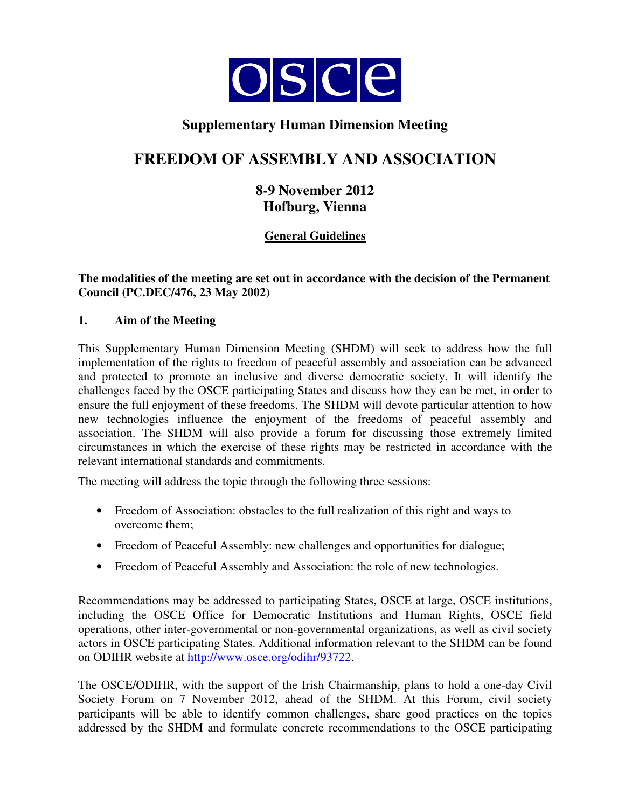

# **Supplementary Human Dimension Meeting**

# **FREEDOM OF ASSEMBLY AND ASSOCIATION**

# **8-9 November 2012 Hofburg, Vienna**

## **General Guidelines**

#### **The modalities of the meeting are set out in accordance with the decision of the Permanent Council (PC.DEC/476, 23 May 2002)**

#### **1. Aim of the Meeting**

This Supplementary Human Dimension Meeting (SHDM) will seek to address how the full implementation of the rights to freedom of peaceful assembly and association can be advanced and protected to promote an inclusive and diverse democratic society. It will identify the challenges faced by the OSCE participating States and discuss how they can be met, in order to ensure the full enjoyment of these freedoms. The SHDM will devote particular attention to how new technologies influence the enjoyment of the freedoms of peaceful assembly and association. The SHDM will also provide a forum for discussing those extremely limited circumstances in which the exercise of these rights may be restricted in accordance with the relevant international standards and commitments.

The meeting will address the topic through the following three sessions:

- Freedom of Association: obstacles to the full realization of this right and ways to overcome them;
- Freedom of Peaceful Assembly: new challenges and opportunities for dialogue;
- Freedom of Peaceful Assembly and Association: the role of new technologies.

Recommendations may be addressed to participating States, OSCE at large, OSCE institutions, including the OSCE Office for Democratic Institutions and Human Rights, OSCE field operations, other inter-governmental or non-governmental organizations, as well as civil society actors in OSCE participating States. Additional information relevant to the SHDM can be found on ODIHR website at http://www.osce.org/odihr/93722.

The OSCE/ODIHR, with the support of the Irish Chairmanship, plans to hold a one-day Civil Society Forum on 7 November 2012, ahead of the SHDM. At this Forum, civil society participants will be able to identify common challenges, share good practices on the topics addressed by the SHDM and formulate concrete recommendations to the OSCE participating